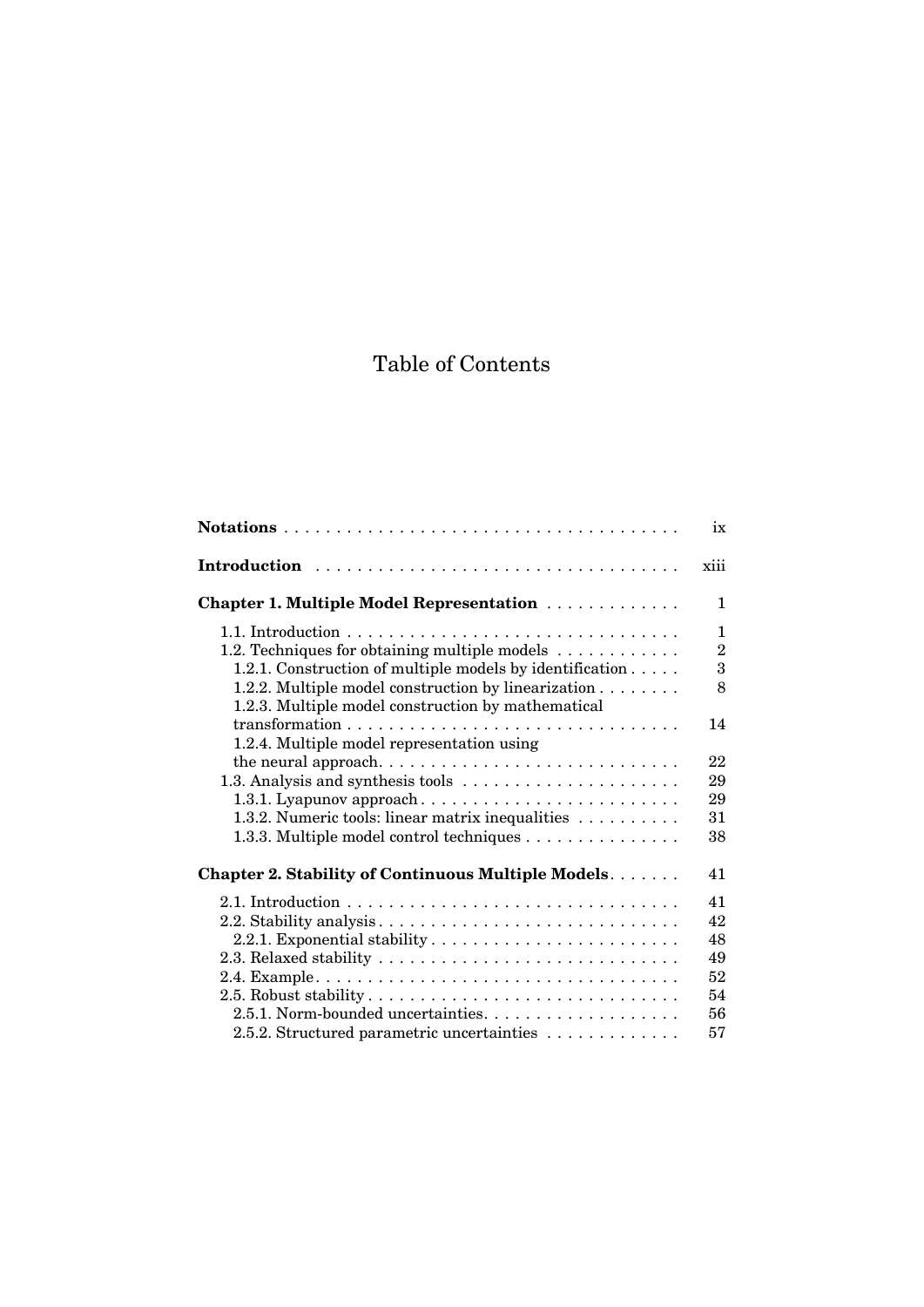## Table of Contents

|                                                                                         | ix             |
|-----------------------------------------------------------------------------------------|----------------|
| Introduction                                                                            | xiii           |
| Chapter 1. Multiple Model Representation                                                | 1              |
|                                                                                         | 1              |
| 1.2. Techniques for obtaining multiple models $\dots \dots \dots$                       | $\overline{2}$ |
| 1.2.1. Construction of multiple models by identification $\dots$ .                      | 3              |
| 1.2.2. Multiple model construction by linearization                                     | 8              |
| 1.2.3. Multiple model construction by mathematical                                      |                |
|                                                                                         | 14             |
| 1.2.4. Multiple model representation using                                              |                |
|                                                                                         | 22             |
|                                                                                         | 29             |
|                                                                                         | 29             |
| 1.3.2. Numeric tools: linear matrix inequalities                                        | 31             |
| 1.3.3. Multiple model control techniques                                                | 38             |
| Chapter 2. Stability of Continuous Multiple Models.                                     | 41             |
|                                                                                         | 41             |
|                                                                                         | 42             |
|                                                                                         | 48             |
| 2.3. Relaxed stability $\ldots \ldots \ldots \ldots \ldots \ldots \ldots \ldots \ldots$ | 49             |
|                                                                                         | 52             |
|                                                                                         | 54             |
|                                                                                         | 56             |
| 2.5.2. Structured parametric uncertainties                                              | 57             |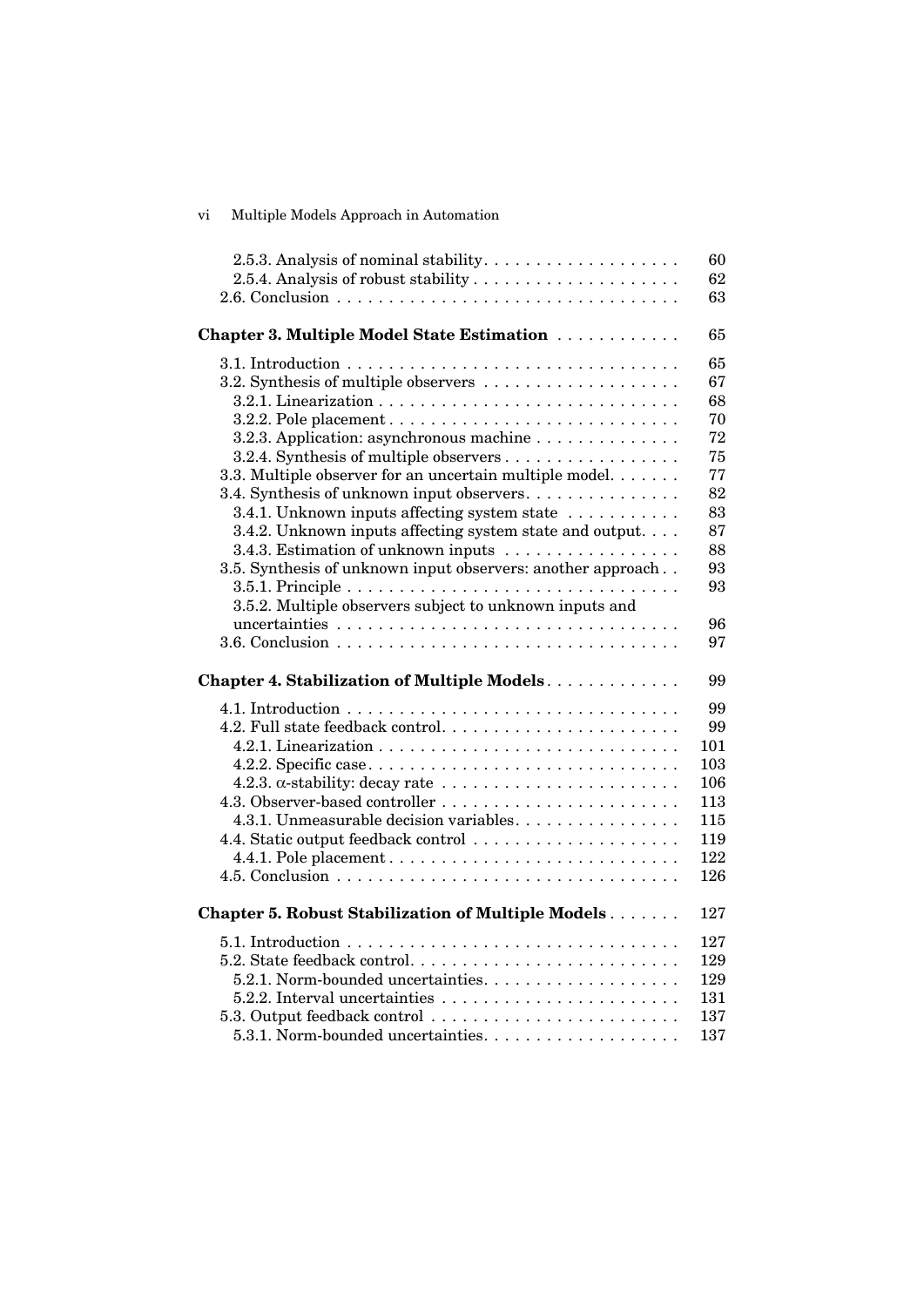| 2.5.3. Analysis of nominal stability. $\dots \dots \dots \dots \dots \dots$         | 60  |
|-------------------------------------------------------------------------------------|-----|
|                                                                                     | 62  |
|                                                                                     | 63  |
|                                                                                     |     |
| Chapter 3. Multiple Model State Estimation                                          | 65  |
|                                                                                     | 65  |
|                                                                                     | 67  |
|                                                                                     | 68  |
| 3.2.2. Pole placement $\dots \dots \dots \dots \dots \dots \dots \dots \dots \dots$ | 70  |
| 3.2.3. Application: asynchronous machine                                            | 72  |
| 3.2.4. Synthesis of multiple observers                                              | 75  |
| 3.3. Multiple observer for an uncertain multiple model.                             | 77  |
| 3.4. Synthesis of unknown input observers                                           | 82  |
| 3.4.1. Unknown inputs affecting system state                                        | 83  |
| 3.4.2. Unknown inputs affecting system state and output                             | 87  |
| 3.4.3. Estimation of unknown inputs                                                 | 88  |
| 3.5. Synthesis of unknown input observers: another approach                         | 93  |
|                                                                                     | 93  |
| 3.5.2. Multiple observers subject to unknown inputs and                             |     |
|                                                                                     | 96  |
|                                                                                     | 97  |
|                                                                                     |     |
| Chapter 4. Stabilization of Multiple Models.                                        | 99  |
|                                                                                     | 99  |
|                                                                                     | 99  |
|                                                                                     | 101 |
|                                                                                     | 103 |
|                                                                                     | 106 |
|                                                                                     | 113 |
| 4.3.1. Unmeasurable decision variables.                                             | 115 |
| 4.4. Static output feedback control                                                 | 119 |
|                                                                                     | 122 |
|                                                                                     | 126 |
|                                                                                     |     |
| <b>Chapter 5. Robust Stabilization of Multiple Models</b>                           | 127 |
|                                                                                     | 127 |
|                                                                                     | 129 |
|                                                                                     | 129 |
|                                                                                     | 131 |
| 5.3. Output feedback control                                                        | 137 |
|                                                                                     | 137 |

vi Multiple Models Approach in Automation